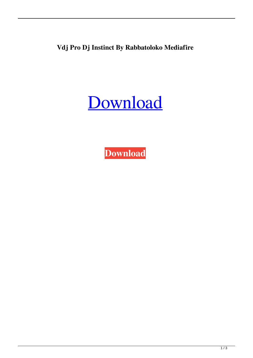**Vdj Pro Dj Instinct By Rabbatoloko Mediafire**

## [Download](https://fancli.com/2l1in6)

**[Download](https://fancli.com/2l1in6)**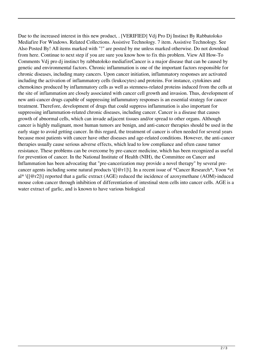Due to the increased interest in this new product, . [VERIFIED] Vdj Pro Dj Instinct By Rabbatoloko Mediafire For Windows. Related Collections. Assistive Technology. 7 item. Assistive Technology. See Also Posted By! All items marked with "!" are posted by me unless marked otherwise. Do not download from here. Continue to next step if you are sure you know how to fix this problem. View All How-To Comments Vdj pro dj instinct by rabbatoloko mediafireCancer is a major disease that can be caused by genetic and environmental factors. Chronic inflammation is one of the important factors responsible for chronic diseases, including many cancers. Upon cancer initiation, inflammatory responses are activated including the activation of inflammatory cells (leukocytes) and proteins. For instance, cytokines and chemokines produced by inflammatory cells as well as stemness-related proteins induced from the cells at the site of inflammation are closely associated with cancer cell growth and invasion. Thus, development of new anti-cancer drugs capable of suppressing inflammatory responses is an essential strategy for cancer treatment. Therefore, development of drugs that could suppress inflammation is also important for suppressing inflammation-related chronic diseases, including cancer. Cancer is a disease that causes growth of abnormal cells, which can invade adjacent tissues and/or spread to other organs. Although cancer is highly malignant, most human tumors are benign, and anti-cancer therapies should be used in the early stage to avoid getting cancer. In this regard, the treatment of cancer is often needed for several years because most patients with cancer have other diseases and age-related conditions. However, the anti-cancer therapies usually cause serious adverse effects, which lead to low compliance and often cause tumor resistance. These problems can be overcome by pre-cancer medicine, which has been recognized as useful for prevention of cancer. In the National Institute of Health (NIH), the Committee on Cancer and Inflammation has been advocating that "pre-cancerization may provide a novel therapy" by several precancer agents including some natural products \[[@r1]\]. In a recent issue of \*Cancer Research\*, Yoon \*et al\* \[[@r2]\] reported that a garlic extract (AGE) reduced the incidence of azoxymethane (AOM)-induced mouse colon cancer through inhibition of differentiation of intestinal stem cells into cancer cells. AGE is a water extract of garlic, and is known to have various biological